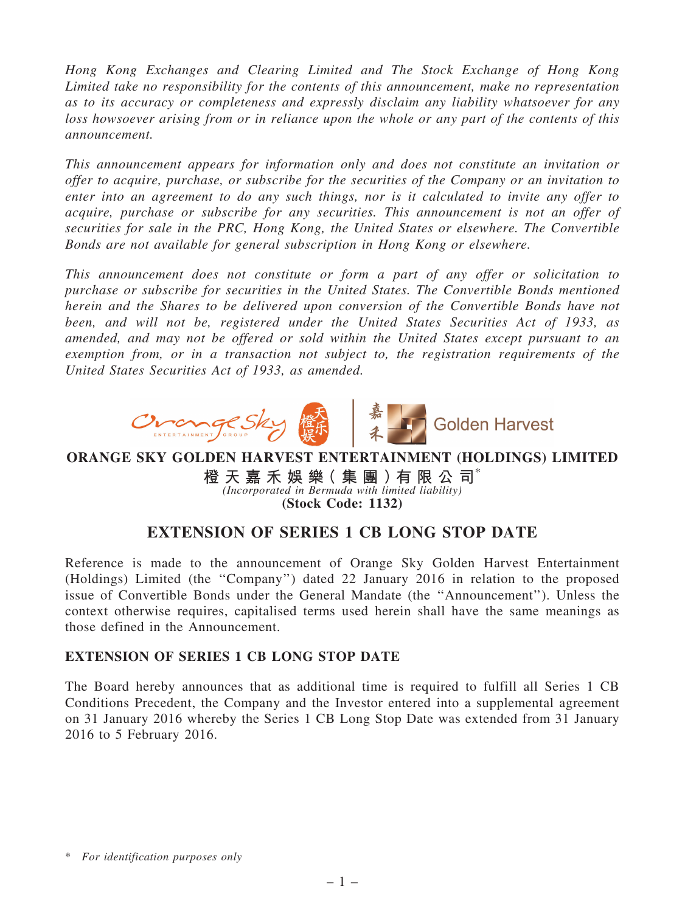*Hong Kong Exchanges and Clearing Limited and The Stock Exchange of Hong Kong Limited take no responsibility for the contents of this announcement, make no representation as to its accuracy or completeness and expressly disclaim any liability whatsoever for any loss howsoever arising from or in reliance upon the whole or any part of the contents of this announcement.*

*This announcement appears for information only and does not constitute an invitation or offer to acquire, purchase, or subscribe for the securities of the Company or an invitation to enter into an agreement to do any such things, nor is it calculated to invite any offer to acquire, purchase or subscribe for any securities. This announcement is not an offer of securities for sale in the PRC, Hong Kong, the United States or elsewhere. The Convertible Bonds are not available for general subscription in Hong Kong or elsewhere.*

*This announcement does not constitute or form a part of any offer or solicitation to purchase or subscribe for securities in the United States. The Convertible Bonds mentioned herein and the Shares to be delivered upon conversion of the Convertible Bonds have not been, and will not be, registered under the United States Securities Act of 1933, as amended, and may not be offered or sold within the United States except pursuant to an exemption from, or in a transaction not subject to, the registration requirements of the United States Securities Act of 1933, as amended.*



ORANGE SKY GOLDEN HARVEST ENTERTAINMENT (HOLDINGS) LIMITED

橙 天 嘉 禾 娛 樂 ( 集 團 ) 有 限 公 司 $^{\circ}$ *(Incorporated in Bermuda with limited liability)* (Stock Code: 1132)

## EXTENSION OF SERIES 1 CB LONG STOP DATE

Reference is made to the announcement of Orange Sky Golden Harvest Entertainment (Holdings) Limited (the ''Company'') dated 22 January 2016 in relation to the proposed issue of Convertible Bonds under the General Mandate (the ''Announcement''). Unless the context otherwise requires, capitalised terms used herein shall have the same meanings as those defined in the Announcement.

## EXTENSION OF SERIES 1 CB LONG STOP DATE

The Board hereby announces that as additional time is required to fulfill all Series 1 CB Conditions Precedent, the Company and the Investor entered into a supplemental agreement on 31 January 2016 whereby the Series 1 CB Long Stop Date was extended from 31 January 2016 to 5 February 2016.

<sup>\*</sup> *For identification purposes only*